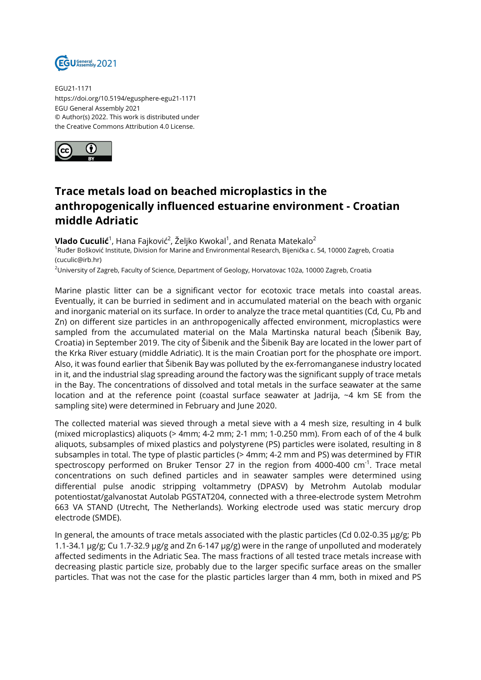

EGU21-1171 https://doi.org/10.5194/egusphere-egu21-1171 EGU General Assembly 2021 © Author(s) 2022. This work is distributed under the Creative Commons Attribution 4.0 License.



## **Trace metals load on beached microplastics in the anthropogenically influenced estuarine environment - Croatian middle Adriatic**

**Vlado Cuculić**<sup>1</sup>, Hana Fajković<sup>2</sup>, Željko Kwokal<sup>1</sup>, and Renata Matekalo<sup>2</sup> <sup>1</sup>Ruđer Bošković Institute, Division for Marine and Environmental Research, Bijenička c. 54, 10000 Zagreb, Croatia (cuculic@irb.hr)

<sup>2</sup>University of Zagreb, Faculty of Science, Department of Geology, Horvatovac 102a, 10000 Zagreb, Croatia

Marine plastic litter can be a significant vector for ecotoxic trace metals into coastal areas. Eventually, it can be burried in sediment and in accumulated material on the beach with organic and inorganic material on its surface. In order to analyze the trace metal quantities (Cd, Cu, Pb and Zn) on different size particles in an anthropogenically affected environment, microplastics were sampled from the accumulated material on the Mala Martinska natural beach (Šibenik Bay, Croatia) in September 2019. The city of Šibenik and the Šibenik Bay are located in the lower part of the Krka River estuary (middle Adriatic). It is the main Croatian port for the phosphate ore import. Also, it was found earlier that Šibenik Bay was polluted by the ex-ferromanganese industry located in it, and the industrial slag spreading around the factory was the significant supply of trace metals in the Bay. The concentrations of dissolved and total metals in the surface seawater at the same location and at the reference point (coastal surface seawater at Jadrija, ~4 km SE from the sampling site) were determined in February and June 2020.

The collected material was sieved through a metal sieve with a 4 mesh size, resulting in 4 bulk (mixed microplastics) aliquots (> 4mm; 4-2 mm; 2-1 mm; 1-0.250 mm). From each of of the 4 bulk aliquots, subsamples of mixed plastics and polystyrene (PS) particles were isolated, resulting in 8 subsamples in total. The type of plastic particles (> 4mm; 4-2 mm and PS) was determined by FTIR spectroscopy performed on Bruker Tensor 27 in the region from 4000-400  $cm^{-1}$ . Trace metal concentrations on such defined particles and in seawater samples were determined using differential pulse anodic stripping voltammetry (DPASV) by Metrohm Autolab modular potentiostat/galvanostat Autolab PGSTAT204, connected with a three-electrode system Metrohm 663 VA STAND (Utrecht, The Netherlands). Working electrode used was static mercury drop electrode (SMDE).

In general, the amounts of trace metals associated with the plastic particles (Cd 0.02-0.35 µg/g; Pb 1.1-34.1 µg/g; Cu 1.7-32.9 µg/g and Zn 6-147 µg/g) were in the range of unpolluted and moderately affected sediments in the Adriatic Sea. The mass fractions of all tested trace metals increase with decreasing plastic particle size, probably due to the larger specific surface areas on the smaller particles. That was not the case for the plastic particles larger than 4 mm, both in mixed and PS